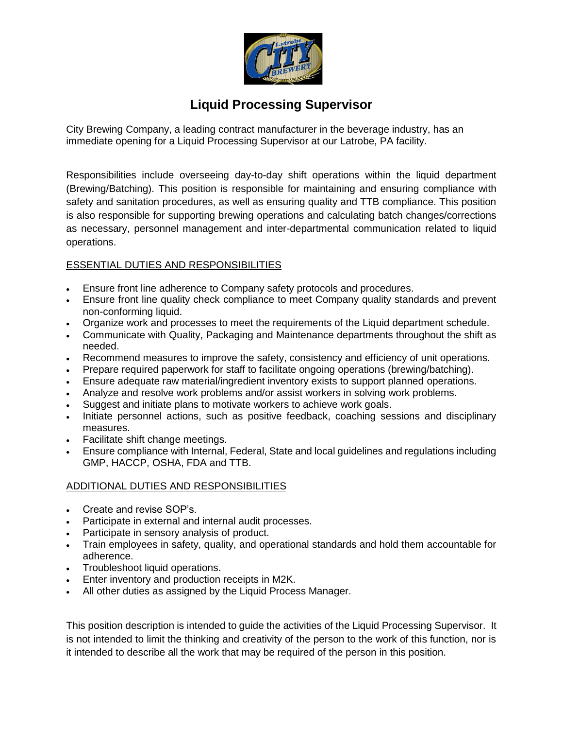

# **Liquid Processing Supervisor**

City Brewing Company, a leading contract manufacturer in the beverage industry, has an immediate opening for a Liquid Processing Supervisor at our Latrobe, PA facility.

Responsibilities include overseeing day-to-day shift operations within the liquid department (Brewing/Batching). This position is responsible for maintaining and ensuring compliance with safety and sanitation procedures, as well as ensuring quality and TTB compliance. This position is also responsible for supporting brewing operations and calculating batch changes/corrections as necessary, personnel management and inter-departmental communication related to liquid operations.

## ESSENTIAL DUTIES AND RESPONSIBILITIES

- Ensure front line adherence to Company safety protocols and procedures.
- Ensure front line quality check compliance to meet Company quality standards and prevent non-conforming liquid.
- Organize work and processes to meet the requirements of the Liquid department schedule.
- Communicate with Quality, Packaging and Maintenance departments throughout the shift as needed.
- Recommend measures to improve the safety, consistency and efficiency of unit operations.
- Prepare required paperwork for staff to facilitate ongoing operations (brewing/batching).
- Ensure adequate raw material/ingredient inventory exists to support planned operations.
- Analyze and resolve work problems and/or assist workers in solving work problems.
- Suggest and initiate plans to motivate workers to achieve work goals.
- Initiate personnel actions, such as positive feedback, coaching sessions and disciplinary measures.
- Facilitate shift change meetings.
- Ensure compliance with Internal, Federal, State and local guidelines and regulations including GMP, HACCP, OSHA, FDA and TTB.

## ADDITIONAL DUTIES AND RESPONSIBILITIES

- Create and revise SOP's.
- Participate in external and internal audit processes.
- Participate in sensory analysis of product.
- Train employees in safety, quality, and operational standards and hold them accountable for adherence.
- Troubleshoot liquid operations.
- Enter inventory and production receipts in M2K.
- All other duties as assigned by the Liquid Process Manager.

This position description is intended to guide the activities of the Liquid Processing Supervisor. It is not intended to limit the thinking and creativity of the person to the work of this function, nor is it intended to describe all the work that may be required of the person in this position.